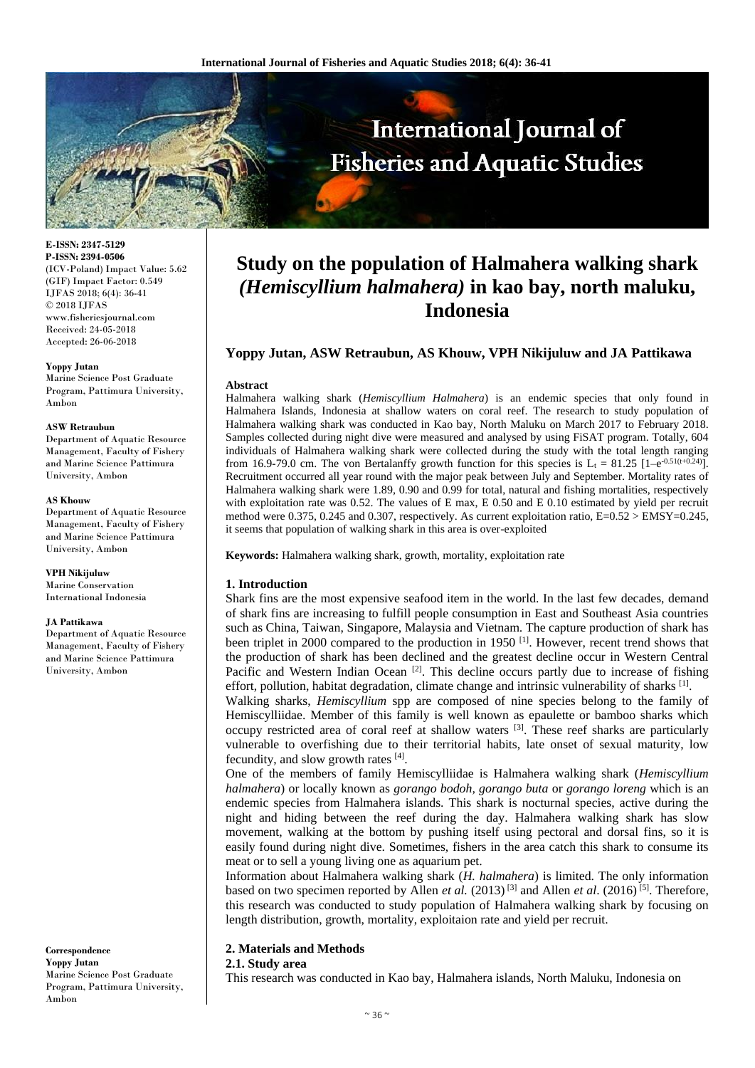

**E-ISSN: 2347-5129 P-ISSN: 2394-0506** (ICV-Poland) Impact Value: 5.62 (GIF) Impact Factor: 0.549 IJFAS 2018; 6(4): 36-41 © 2018 IJFAS www.fisheriesjournal.com Received: 24-05-2018 Accepted: 26-06-2018

#### **Yoppy Jutan**

Marine Science Post Graduate Program, Pattimura University, Ambon

#### **ASW Retraubun**

Department of Aquatic Resource Management, Faculty of Fishery and Marine Science Pattimura University, Ambon

#### **AS Khouw**

Department of Aquatic Resource Management, Faculty of Fishery and Marine Science Pattimura University, Ambon

**VPH Nikijuluw** Marine Conservation International Indonesia

#### **JA Pattikawa**

Department of Aquatic Resource Management, Faculty of Fishery and Marine Science Pattimura University, Ambon

**Correspondence Yoppy Jutan** Marine Science Post Graduate Program, Pattimura University, Ambon

# **Study on the population of Halmahera walking shark**  *(Hemiscyllium halmahera)* **in kao bay, north maluku, Indonesia**

# **Yoppy Jutan, ASW Retraubun, AS Khouw, VPH Nikijuluw and JA Pattikawa**

# **Abstract**

Halmahera walking shark (*Hemiscyllium Halmahera*) is an endemic species that only found in Halmahera Islands, Indonesia at shallow waters on coral reef. The research to study population of Halmahera walking shark was conducted in Kao bay, North Maluku on March 2017 to February 2018. Samples collected during night dive were measured and analysed by using FiSAT program. Totally, 604 individuals of Halmahera walking shark were collected during the study with the total length ranging from 16.9-79.0 cm. The von Bertalanffy growth function for this species is L<sub>t</sub> = 81.25 [1–e<sup>-0.51(t+0.24)</sup>]. Recruitment occurred all year round with the major peak between July and September. Mortality rates of Halmahera walking shark were 1.89, 0.90 and 0.99 for total, natural and fishing mortalities, respectively with exploitation rate was 0.52. The values of E max, E 0.50 and E 0.10 estimated by yield per recruit method were 0.375, 0.245 and 0.307, respectively. As current exploitation ratio, E=0.52 > EMSY=0.245, it seems that population of walking shark in this area is over-exploited

**Keywords:** Halmahera walking shark, growth, mortality, exploitation rate

# **1. Introduction**

Shark fins are the most expensive seafood item in the world. In the last few decades, demand of shark fins are increasing to fulfill people consumption in East and Southeast Asia countries such as China, Taiwan, Singapore, Malaysia and Vietnam. The capture production of shark has been triplet in 2000 compared to the production in 1950 <sup>[1]</sup>. However, recent trend shows that the production of shark has been declined and the greatest decline occur in Western Central Pacific and Western Indian Ocean [2]. This decline occurs partly due to increase of fishing effort, pollution, habitat degradation, climate change and intrinsic vulnerability of sharks [1].

Walking sharks, *Hemiscyllium* spp are composed of nine species belong to the family of Hemiscylliidae. Member of this family is well known as epaulette or bamboo sharks which occupy restricted area of coral reef at shallow waters  $[3]$ . These reef sharks are particularly vulnerable to overfishing due to their territorial habits, late onset of sexual maturity, low fecundity, and slow growth rates [4].

One of the members of family Hemiscylliidae is Halmahera walking shark (*Hemiscyllium halmahera*) or locally known as *gorango bodoh, gorango buta* or *gorango loreng* which is an endemic species from Halmahera islands. This shark is nocturnal species, active during the night and hiding between the reef during the day. Halmahera walking shark has slow movement, walking at the bottom by pushing itself using pectoral and dorsal fins, so it is easily found during night dive. Sometimes, fishers in the area catch this shark to consume its meat or to sell a young living one as aquarium pet.

Information about Halmahera walking shark (*H. halmahera*) is limited. The only information based on two specimen reported by Allen *et al.*  $(2013)^{[3]}$  and Allen *et al.*  $(2016)^{[5]}$ . Therefore, this research was conducted to study population of Halmahera walking shark by focusing on length distribution, growth, mortality, exploitaion rate and yield per recruit.

# **2. Materials and Methods**

# **2.1. Study area**

This research was conducted in Kao bay, Halmahera islands, North Maluku, Indonesia on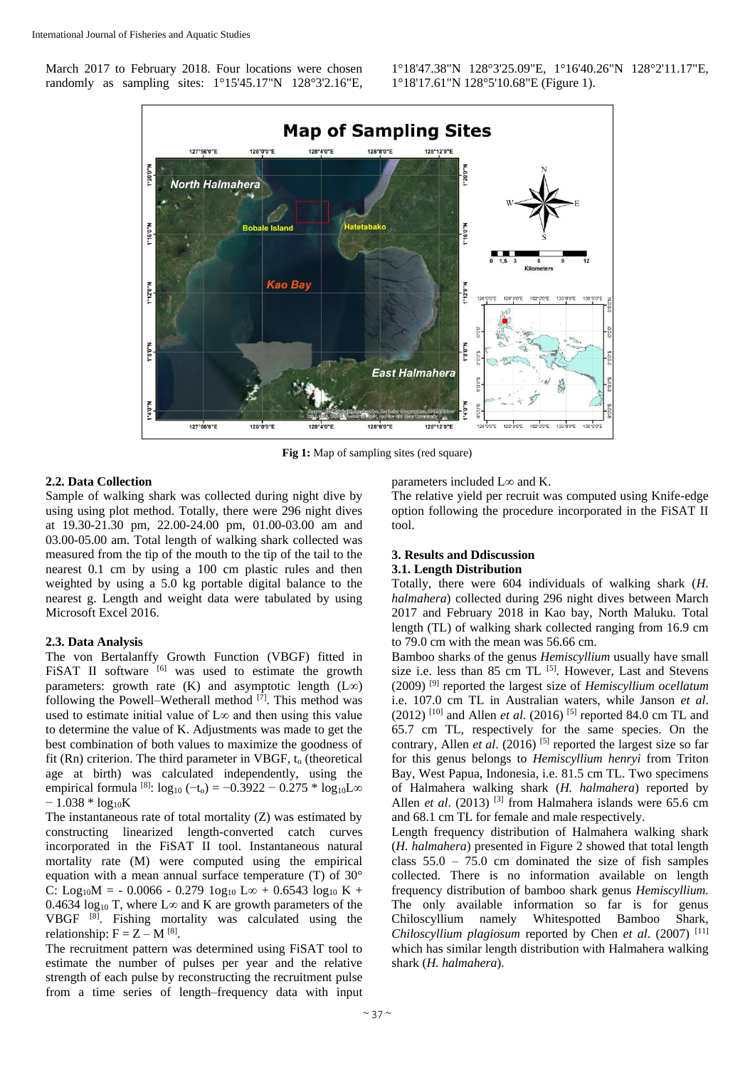March 2017 to February 2018. Four locations were chosen randomly as sampling sites: 1°15'45.17"N 128°3'2.16"E, 1°18'47.38"N 128°3'25.09"E, 1°16'40.26"N 128°2'11.17"E, 1°18'17.61"N 128°5'10.68"E (Figure 1).



**Fig 1:** Map of sampling sites (red square)

# **2.2. Data Collection**

Sample of walking shark was collected during night dive by using using plot method. Totally, there were 296 night dives at 19.30-21.30 pm, 22.00-24.00 pm, 01.00-03.00 am and 03.00-05.00 am. Total length of walking shark collected was measured from the tip of the mouth to the tip of the tail to the nearest 0.1 cm by using a 100 cm plastic rules and then weighted by using a 5.0 kg portable digital balance to the nearest g. Length and weight data were tabulated by using Microsoft Excel 2016.

#### **2.3. Data Analysis**

The von Bertalanffy Growth Function (VBGF) fitted in FISAT II software <sup>[6]</sup> was used to estimate the growth parameters: growth rate (K) and asymptotic length  $(L∞)$ following the Powell–Wetherall method  $[7]$ . This method was used to estimate initial value of L∞ and then using this value to determine the value of K. Adjustments was made to get the best combination of both values to maximize the goodness of fit (Rn) criterion. The third parameter in VBGF, to (theoretical age at birth) was calculated independently, using the empirical formula <sup>[8]</sup>:  $log_{10}$  (-t<sub>o</sub>) = -0.3922 - 0.275 \*  $log_{10}$ L∞  $-1.038 * log_{10}K$ 

The instantaneous rate of total mortality (Z) was estimated by constructing linearized length-converted catch curves incorporated in the FiSAT II tool. Instantaneous natural mortality rate (M) were computed using the empirical equation with a mean annual surface temperature (T) of 30° C: Log<sub>10</sub>M = - 0.0066 - 0.279  $log_{10}$  L $\infty$  + 0.6543  $log_{10}$  K + 0.4634  $log_{10} T$ , where L∞ and K are growth parameters of the VBGF [8]. Fishing mortality was calculated using the relationship:  $F = Z - M^{[8]}$ .

The recruitment pattern was determined using FiSAT tool to estimate the number of pulses per year and the relative strength of each pulse by reconstructing the recruitment pulse from a time series of length–frequency data with input

parameters included L∞ and K.

The relative yield per recruit was computed using Knife-edge option following the procedure incorporated in the FiSAT II tool.

#### **3. Results and Ddiscussion 3.1. Length Distribution**

Totally, there were 604 individuals of walking shark (*H. halmahera*) collected during 296 night dives between March 2017 and February 2018 in Kao bay, North Maluku. Total length (TL) of walking shark collected ranging from 16.9 cm to 79.0 cm with the mean was 56.66 cm.

Bamboo sharks of the genus *Hemiscyllium* usually have small size i.e. less than 85 cm TL <sup>[5]</sup>. However, Last and Stevens (2009) [9] reported the largest size of *Hemiscyllium ocellatum*  i.e. 107.0 cm TL in Australian waters, while Janson *et al*.  $(2012)$ <sup>[10]</sup> and Allen *et al.* (2016)<sup>[5]</sup> reported 84.0 cm TL and 65.7 cm TL, respectively for the same species. On the contrary, Allen *et al.* (2016) <sup>[5]</sup> reported the largest size so far for this genus belongs to *Hemiscyllium henryi* from Triton Bay, West Papua, Indonesia, i.e. 81.5 cm TL. Two specimens of Halmahera walking shark (*H. halmahera*) reported by Allen *et al.* (2013)<sup>[3]</sup> from Halmahera islands were 65.6 cm and 68.1 cm TL for female and male respectively.

Length frequency distribution of Halmahera walking shark (*H. halmahera*) presented in Figure 2 showed that total length class  $55.0 - 75.0$  cm dominated the size of fish samples collected. There is no information available on length frequency distribution of bamboo shark genus *Hemiscyllium.*  The only available information so far is for genus Chiloscyllium namely Whitespotted Bamboo Shark, *Chiloscyllium plagiosum* reported by Chen *et al*. (2007) [11] which has similar length distribution with Halmahera walking shark (*H. halmahera*).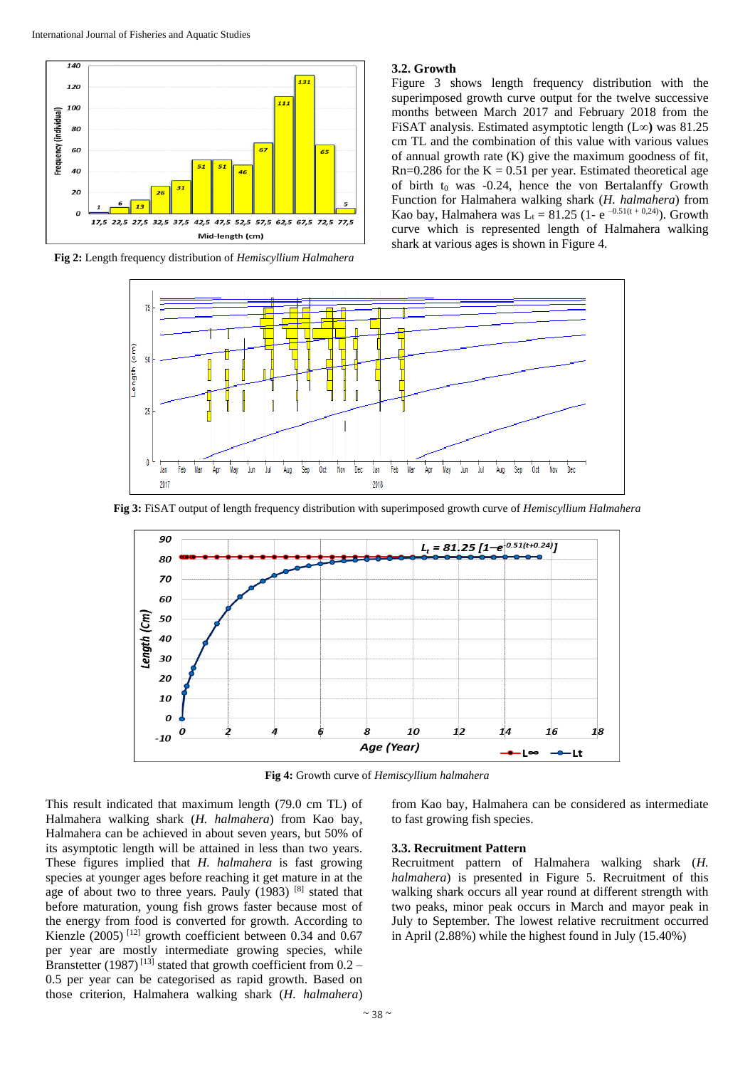

**Fig 2:** Length frequency distribution of *Hemiscyllium Halmahera*

# **3.2. Growth**

Figure 3 shows length frequency distribution with the superimposed growth curve output for the twelve successive months between March 2017 and February 2018 from the FiSAT analysis. Estimated asymptotic length (L∞**)** was 81.25 cm TL and the combination of this value with various values of annual growth rate (K) give the maximum goodness of fit,  $Rn=0.286$  for the  $K = 0.51$  per year. Estimated theoretical age of birth  $t_0$  was -0.24, hence the von Bertalanffy Growth Function for Halmahera walking shark (*H. halmahera*) from Kao bay, Halmahera was L<sub>t</sub> = 81.25 (1- e<sup>-0.51(t + 0,24)</sup>). Growth curve which is represented length of Halmahera walking shark at various ages is shown in Figure 4.



**Fig 3:** FiSAT output of length frequency distribution with superimposed growth curve of *Hemiscyllium Halmahera*



**Fig 4:** Growth curve of *Hemiscyllium halmahera*

This result indicated that maximum length (79.0 cm TL) of Halmahera walking shark (*H. halmahera*) from Kao bay, Halmahera can be achieved in about seven years, but 50% of its asymptotic length will be attained in less than two years. These figures implied that *H. halmahera* is fast growing species at younger ages before reaching it get mature in at the age of about two to three years. Pauly  $(1983)$  <sup>[8]</sup> stated that before maturation, young fish grows faster because most of the energy from food is converted for growth. According to Kienzle (2005)<sup>[12]</sup> growth coefficient between 0.34 and 0.67 per year are mostly intermediate growing species, while Branstetter (1987)<sup>[13]</sup> stated that growth coefficient from  $0.2$  – 0.5 per year can be categorised as rapid growth. Based on those criterion, Halmahera walking shark (*H. halmahera*)

from Kao bay, Halmahera can be considered as intermediate to fast growing fish species.

# **3.3. Recruitment Pattern**

Recruitment pattern of Halmahera walking shark (*H. halmahera*) is presented in Figure 5. Recruitment of this walking shark occurs all year round at different strength with two peaks, minor peak occurs in March and mayor peak in July to September. The lowest relative recruitment occurred in April (2.88%) while the highest found in July (15.40%)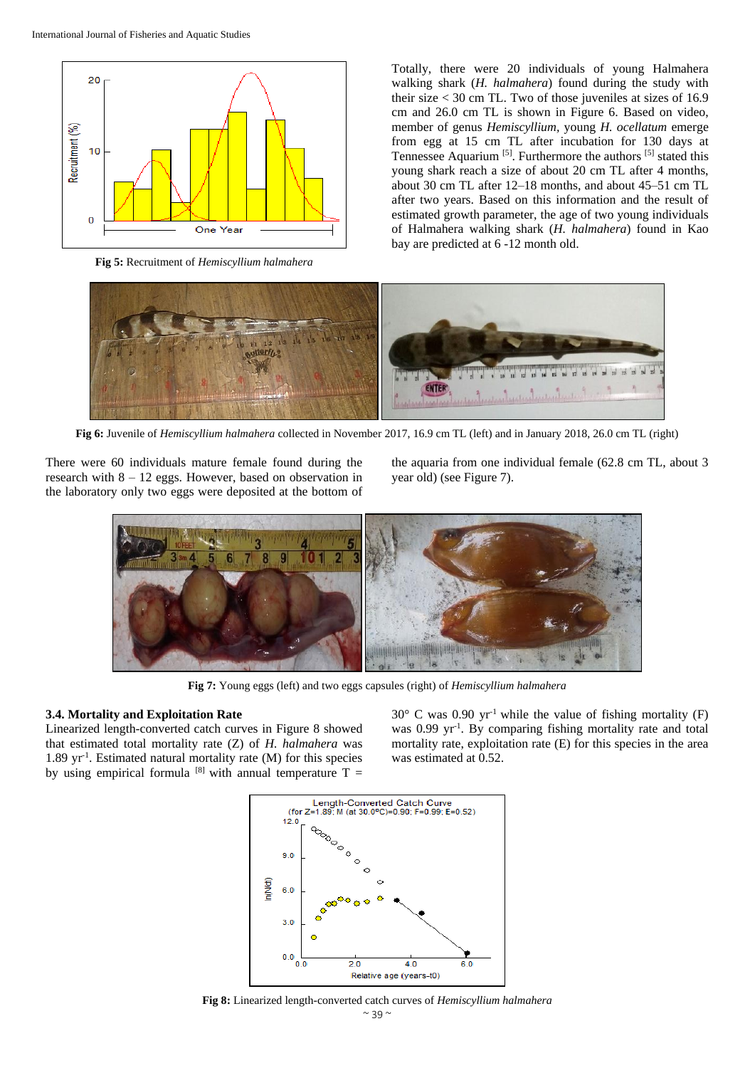

**Fig 5:** Recruitment of *Hemiscyllium halmahera*

Totally, there were 20 individuals of young Halmahera walking shark (*H. halmahera*) found during the study with their size < 30 cm TL. Two of those juveniles at sizes of 16.9 cm and 26.0 cm TL is shown in Figure 6. Based on video, member of genus *Hemiscyllium,* young *H. ocellatum* emerge from egg at 15 cm TL after incubation for 130 days at Tennessee Aquarium<sup>[5]</sup>. Furthermore the authors<sup>[5]</sup> stated this young shark reach a size of about 20 cm TL after 4 months, about 30 cm TL after 12–18 months, and about 45–51 cm TL after two years. Based on this information and the result of estimated growth parameter, the age of two young individuals of Halmahera walking shark (*H. halmahera*) found in Kao bay are predicted at 6 -12 month old.



**Fig 6:** Juvenile of *Hemiscyllium halmahera* collected in November 2017, 16.9 cm TL (left) and in January 2018, 26.0 cm TL (right)

There were 60 individuals mature female found during the research with 8 – 12 eggs. However, based on observation in the laboratory only two eggs were deposited at the bottom of

the aquaria from one individual female (62.8 cm TL, about 3 year old) (see Figure 7).



**Fig 7:** Young eggs (left) and two eggs capsules (right) of *Hemiscyllium halmahera*

# **3.4. Mortality and Exploitation Rate**

Linearized length-converted catch curves in Figure 8 showed that estimated total mortality rate (Z) of *H. halmahera* was 1.89 yr-1 . Estimated natural mortality rate (M) for this species by using empirical formula  $[8]$  with annual temperature T =

 $30^{\circ}$  C was 0.90 yr<sup>-1</sup> while the value of fishing mortality (F) was 0.99 yr<sup>-1</sup>. By comparing fishing mortality rate and total mortality rate, exploitation rate (E) for this species in the area was estimated at 0.52.



 $~\sim$  39  $~\sim$ **Fig 8:** Linearized length-converted catch curves of *Hemiscyllium halmahera*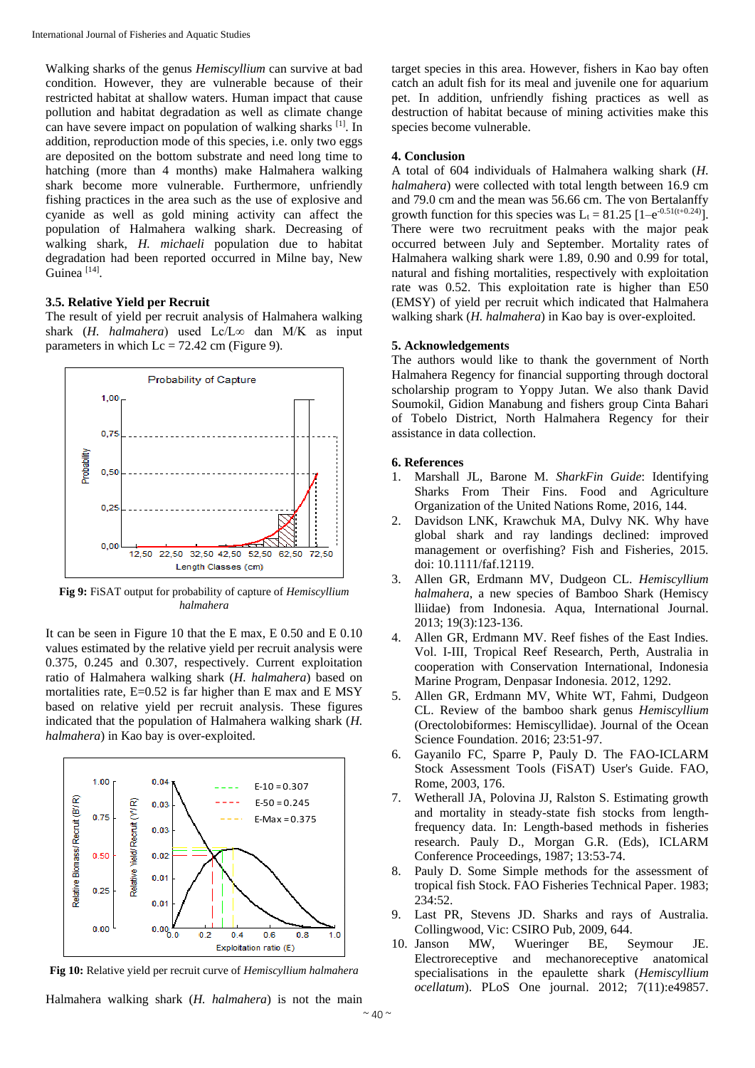Walking sharks of the genus *Hemiscyllium* can survive at bad condition. However, they are vulnerable because of their restricted habitat at shallow waters. Human impact that cause pollution and habitat degradation as well as climate change can have severe impact on population of walking sharks [1]. In addition, reproduction mode of this species, i.e. only two eggs are deposited on the bottom substrate and need long time to hatching (more than 4 months) make Halmahera walking shark become more vulnerable. Furthermore, unfriendly fishing practices in the area such as the use of explosive and cyanide as well as gold mining activity can affect the population of Halmahera walking shark. Decreasing of walking shark, *H. michaeli* population due to habitat degradation had been reported occurred in Milne bay, New Guinea<sup>[14]</sup>.

#### **3.5. Relative Yield per Recruit**

The result of yield per recruit analysis of Halmahera walking shark (*H. halmahera*) used Lc/L∞ dan M/K as input parameters in which  $Lc = 72.42$  cm (Figure 9).



**Fig 9:** FiSAT output for probability of capture of *Hemiscyllium halmahera*

It can be seen in Figure 10 that the E max, E 0.50 and E 0.10 values estimated by the relative yield per recruit analysis were 0.375, 0.245 and 0.307, respectively. Current exploitation ratio of Halmahera walking shark (*H. halmahera*) based on mortalities rate, E=0.52 is far higher than E max and E MSY based on relative yield per recruit analysis. These figures indicated that the population of Halmahera walking shark (*H. halmahera*) in Kao bay is over-exploited.



**Fig 10:** Relative yield per recruit curve of *Hemiscyllium halmahera*

Halmahera walking shark (*H. halmahera*) is not the main

target species in this area. However, fishers in Kao bay often catch an adult fish for its meal and juvenile one for aquarium pet. In addition, unfriendly fishing practices as well as destruction of habitat because of mining activities make this species become vulnerable.

# **4. Conclusion**

A total of 604 individuals of Halmahera walking shark (*H. halmahera*) were collected with total length between 16.9 cm and 79.0 cm and the mean was 56.66 cm. The von Bertalanffy growth function for this species was  $L_t = 81.25$  [1–e<sup>-0.51(t+0.24)</sup>]. There were two recruitment peaks with the major peak occurred between July and September. Mortality rates of Halmahera walking shark were 1.89, 0.90 and 0.99 for total, natural and fishing mortalities, respectively with exploitation rate was 0.52. This exploitation rate is higher than E50 (EMSY) of yield per recruit which indicated that Halmahera walking shark (*H. halmahera*) in Kao bay is over-exploited.

#### **5. Acknowledgements**

The authors would like to thank the government of North Halmahera Regency for financial supporting through doctoral scholarship program to Yoppy Jutan. We also thank David Soumokil, Gidion Manabung and fishers group Cinta Bahari of Tobelo District, North Halmahera Regency for their assistance in data collection.

#### **6. References**

- 1. Marshall JL, Barone M. *SharkFin Guide*: Identifying Sharks From Their Fins. Food and Agriculture Organization of the United Nations Rome, 2016, 144.
- 2. Davidson LNK, Krawchuk MA, Dulvy NK. Why have global shark and ray landings declined: improved management or overfishing? Fish and Fisheries, 2015. doi: 10.1111/faf.12119.
- 3. Allen GR, Erdmann MV, Dudgeon CL. *Hemiscyllium halmahera*, a new species of Bamboo Shark (Hemiscy lliidae) from Indonesia. Aqua, International Journal. 2013; 19(3):123-136.
- 4. Allen GR, Erdmann MV. Reef fishes of the East Indies. Vol. I-III, Tropical Reef Research, Perth, Australia in cooperation with Conservation International, Indonesia Marine Program, Denpasar Indonesia. 2012, 1292.
- 5. Allen GR, Erdmann MV, White WT, Fahmi, Dudgeon CL. Review of the bamboo shark genus *Hemiscyllium* (Orectolobiformes: Hemiscyllidae). Journal of the Ocean Science Foundation. 2016; 23:51-97.
- 6. Gayanilo FC, Sparre P, Pauly D. The FAO-ICLARM Stock Assessment Tools (FiSAT) User's Guide. FAO, Rome, 2003, 176.
- 7. Wetherall JA, Polovina JJ, Ralston S. Estimating growth and mortality in steady-state fish stocks from lengthfrequency data. In: Length-based methods in fisheries research. Pauly D., Morgan G.R. (Eds), ICLARM Conference Proceedings, 1987; 13:53-74.
- 8. Pauly D. Some Simple methods for the assessment of tropical fish Stock. FAO Fisheries Technical Paper. 1983; 234:52.
- 9. Last PR, Stevens JD. Sharks and rays of Australia. Collingwood, Vic: CSIRO Pub, 2009, 644.
- 10. Janson MW, Wueringer BE, Seymour JE. Electroreceptive and mechanoreceptive anatomical specialisations in the epaulette shark (*Hemiscyllium ocellatum*). PLoS One journal. 2012; 7(11):e49857.